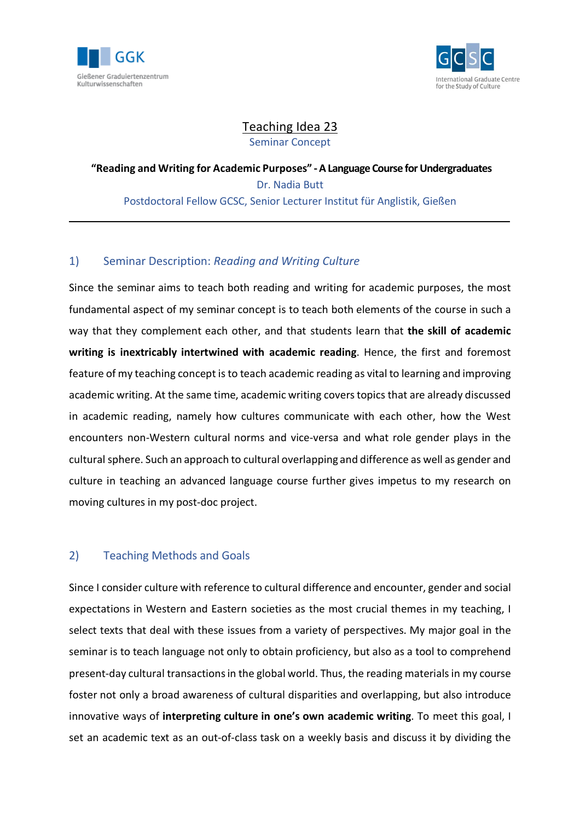



 $\mathcal{L}_\mathrm{max}$ 

# Teaching Idea 23 Seminar Concept

**"Reading and Writing for Academic Purposes" -A Language Course for Undergraduates** Dr. Nadia Butt Postdoctoral Fellow GCSC, Senior Lecturer Institut für Anglistik, Gießen

# 1) Seminar Description: *Reading and Writing Culture*

Since the seminar aims to teach both reading and writing for academic purposes, the most fundamental aspect of my seminar concept is to teach both elements of the course in such a way that they complement each other, and that students learn that **the skill of academic writing is inextricably intertwined with academic reading**. Hence, the first and foremost feature of my teaching concept is to teach academic reading as vital to learning and improving academic writing. At the same time, academic writing coverstopics that are already discussed in academic reading, namely how cultures communicate with each other, how the West encounters non-Western cultural norms and vice-versa and what role gender plays in the cultural sphere. Such an approach to cultural overlapping and difference as well as gender and culture in teaching an advanced language course further gives impetus to my research on moving cultures in my post-doc project.

# 2) Teaching Methods and Goals

Since I consider culture with reference to cultural difference and encounter, gender and social expectations in Western and Eastern societies as the most crucial themes in my teaching, I select texts that deal with these issues from a variety of perspectives. My major goal in the seminar is to teach language not only to obtain proficiency, but also as a tool to comprehend present-day cultural transactionsin the global world. Thus, the reading materialsin my course foster not only a broad awareness of cultural disparities and overlapping, but also introduce innovative ways of **interpreting culture in one's own academic writing**. To meet this goal, I set an academic text as an out-of-class task on a weekly basis and discuss it by dividing the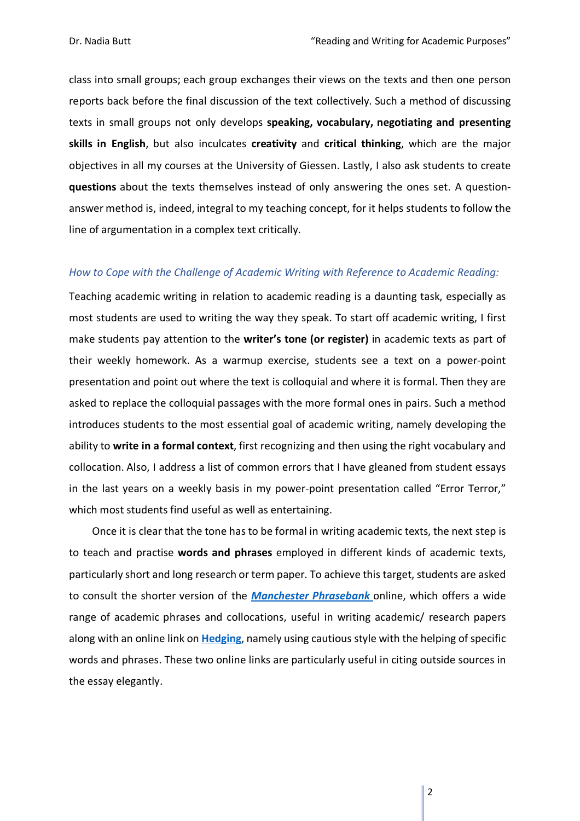class into small groups; each group exchanges their views on the texts and then one person reports back before the final discussion of the text collectively. Such a method of discussing texts in small groups not only develops **speaking, vocabulary, negotiating and presenting skills in English**, but also inculcates **creativity** and **critical thinking**, which are the major objectives in all my courses at the University of Giessen. Lastly, I also ask students to create **questions** about the texts themselves instead of only answering the ones set. A questionanswer method is, indeed, integral to my teaching concept, for it helps students to follow the line of argumentation in a complex text critically.

#### *How to Cope with the Challenge of Academic Writing with Reference to Academic Reading:*

Teaching academic writing in relation to academic reading is a daunting task, especially as most students are used to writing the way they speak. To start off academic writing, I first make students pay attention to the **writer's tone (or register)** in academic texts as part of their weekly homework. As a warmup exercise, students see a text on a power-point presentation and point out where the text is colloquial and where it is formal. Then they are asked to replace the colloquial passages with the more formal ones in pairs. Such a method introduces students to the most essential goal of academic writing, namely developing the ability to **write in a formal context**, first recognizing and then using the right vocabulary and collocation. Also, I address a list of common errors that I have gleaned from student essays in the last years on a weekly basis in my power-point presentation called "Error Terror," which most students find useful as well as entertaining.

Once it is clear that the tone has to be formal in writing academic texts, the next step is to teach and practise **words and phrases** employed in different kinds of academic texts, particularly short and long research or term paper. To achieve this target, students are asked to consult the shorter version of the *[Manchester](http://www.phrasebank.manchester.ac.uk/) Phrasebank* online, which offers a wide range of academic phrases and collocations, useful in writing academic/ research papers along with an online link on **[Hedging](http://www.uefap.com/writing/feature/hedge.htm)**, namely using cautious style with the helping of specific words and phrases. These two online links are particularly useful in citing outside sources in the essay elegantly.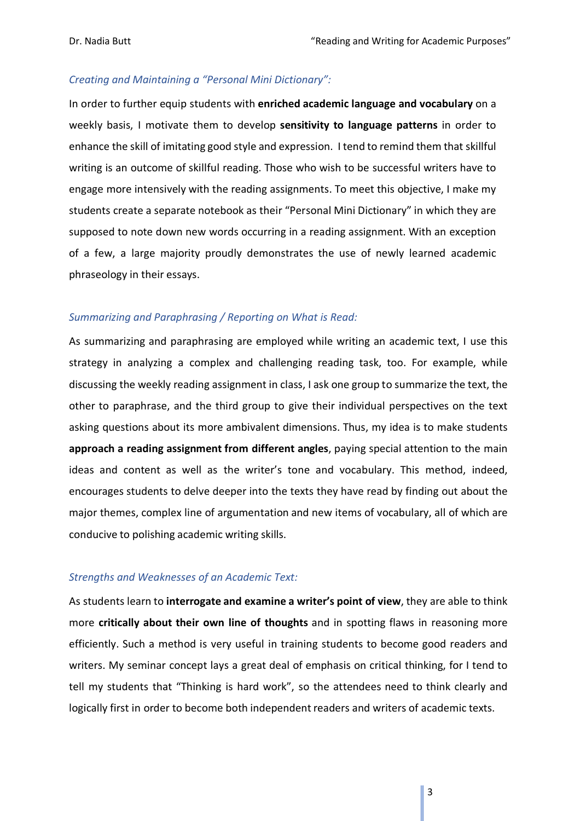### *Creating and Maintaining a "Personal Mini Dictionary":*

In order to further equip students with **enriched academic language and vocabulary** on a weekly basis, I motivate them to develop **sensitivity to language patterns** in order to enhance the skill of imitating good style and expression. I tend to remind them that skillful writing is an outcome of skillful reading. Those who wish to be successful writers have to engage more intensively with the reading assignments. To meet this objective, I make my students create a separate notebook as their "Personal Mini Dictionary" in which they are supposed to note down new words occurring in a reading assignment. With an exception of a few, a large majority proudly demonstrates the use of newly learned academic phraseology in their essays.

#### *Summarizing and Paraphrasing / Reporting on What is Read:*

As summarizing and paraphrasing are employed while writing an academic text, I use this strategy in analyzing a complex and challenging reading task, too. For example, while discussing the weekly reading assignment in class, I ask one group to summarize the text, the other to paraphrase, and the third group to give their individual perspectives on the text asking questions about its more ambivalent dimensions. Thus, my idea is to make students **approach a reading assignment from different angles**, paying special attention to the main ideas and content as well as the writer's tone and vocabulary. This method, indeed, encourages students to delve deeper into the texts they have read by finding out about the major themes, complex line of argumentation and new items of vocabulary, all of which are conducive to polishing academic writing skills.

#### *Strengths and Weaknesses of an Academic Text:*

As students learn to **interrogate and examine a writer's point of view**, they are able to think more **critically about their own line of thoughts** and in spotting flaws in reasoning more efficiently. Such a method is very useful in training students to become good readers and writers. My seminar concept lays a great deal of emphasis on critical thinking, for I tend to tell my students that "Thinking is hard work", so the attendees need to think clearly and logically first in order to become both independent readers and writers of academic texts.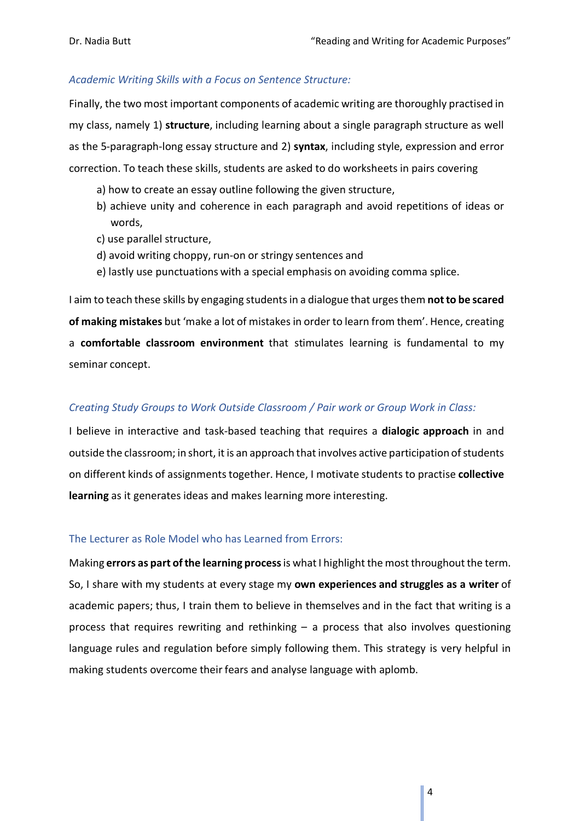## *Academic Writing Skills with a Focus on Sentence Structure:*

Finally, the two most important components of academic writing are thoroughly practised in my class, namely 1) **structure**, including learning about a single paragraph structure as well as the 5-paragraph-long essay structure and 2) **syntax**, including style, expression and error correction. To teach these skills, students are asked to do worksheets in pairs covering

- a) how to create an essay outline following the given structure,
- b) achieve unity and coherence in each paragraph and avoid repetitions of ideas or words,
- c) use parallel structure,
- d) avoid writing choppy, run-on or stringy sentences and
- e) lastly use punctuations with a special emphasis on avoiding comma splice.

I aim to teach these skills by engaging studentsin a dialogue that urgesthem **notto be scared of making mistakes** but 'make a lot of mistakesin order to learn from them'. Hence, creating a **comfortable classroom environment** that stimulates learning is fundamental to my seminar concept.

## *Creating Study Groups to Work Outside Classroom / Pair work or Group Work in Class:*

I believe in interactive and task-based teaching that requires a **dialogic approach** in and outside the classroom; in short, it is an approach that involves active participation of students on different kinds of assignments together. Hence, I motivate students to practise **collective learning** as it generates ideas and makes learning more interesting.

#### The Lecturer as Role Model who has Learned from Errors:

Making **errors as part ofthe learning process**is whatI highlight the most throughoutthe term. So, I share with my students at every stage my **own experiences and struggles as a writer** of academic papers; thus, I train them to believe in themselves and in the fact that writing is a process that requires rewriting and rethinking – a process that also involves questioning language rules and regulation before simply following them. This strategy is very helpful in making students overcome their fears and analyse language with aplomb.